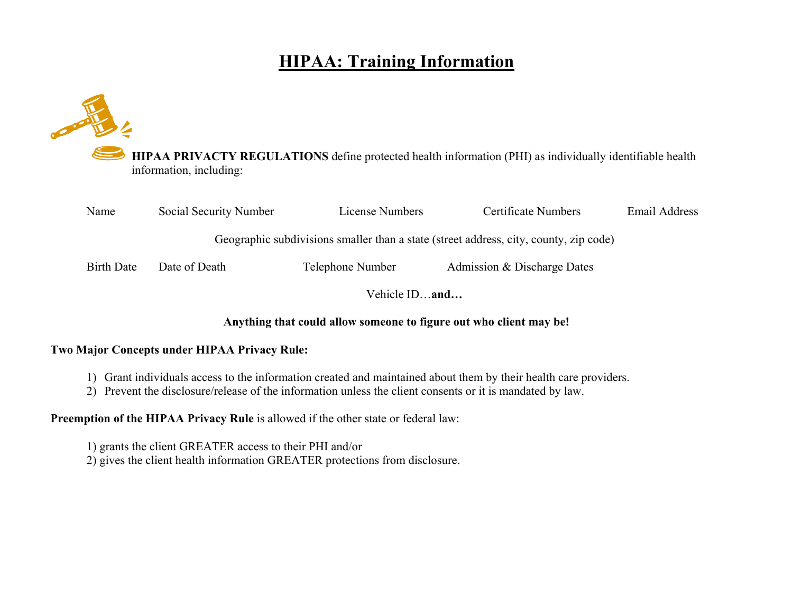# **HIPAA: Training Information**

**HIPAA PRIVACTY REGULATIONS** define protected health information (PHI) as individually identifiable health information, including:

| Name              | Social Security Number                                                                | License Numbers  | Certificate Numbers         | Email Address |
|-------------------|---------------------------------------------------------------------------------------|------------------|-----------------------------|---------------|
|                   | Geographic subdivisions smaller than a state (street address, city, county, zip code) |                  |                             |               |
| <b>Birth Date</b> | Date of Death                                                                         | Telephone Number | Admission & Discharge Dates |               |
|                   | Vehicle IDand                                                                         |                  |                             |               |

#### **Anything that could allow someone to figure out who client may be!**

#### **Two Major Concepts under HIPAA Privacy Rule:**

- 1) Grant individuals access to the information created and maintained about them by their health care providers.
- 2) Prevent the disclosure/release of the information unless the client consents or it is mandated by law.

**Preemption of the HIPAA Privacy Rule** is allowed if the other state or federal law:

1) grants the client GREATER access to their PHI and/or 2) gives the client health information GREATER protections from disclosure.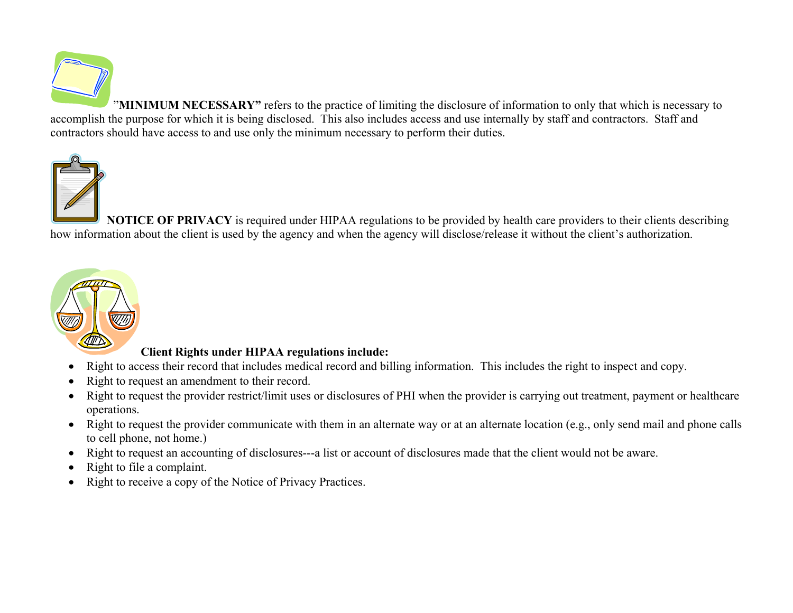

"**MINIMUM NECESSARY"** refers to the practice of limiting the disclosure of information to only that which is necessary to accomplish the purpose for which it is being disclosed. This also includes access and use internally by staff and contractors. Staff and contractors should have access to and use only the minimum necessary to perform their duties.



**NOTICE OF PRIVACY** is required under HIPAA regulations to be provided by health care providers to their clients describing how information about the client is used by the agency and when the agency will disclose/release it without the client's authorization.



### **Client Rights under HIPAA regulations include:**

- $\bullet$ Right to access their record that includes medical record and billing information. This includes the right to inspect and copy.
- $\bullet$ Right to request an amendment to their record.
- $\bullet$  Right to request the provider restrict/limit uses or disclosures of PHI when the provider is carrying out treatment, payment or healthcare operations.
- Right to request the provider communicate with them in an alternate way or at an alternate location (e.g., only send mail and phone calls to cell phone, not home.)
- Right to request an accounting of disclosures---a list or account of disclosures made that the client would not be aware.
- $\bullet$ Right to file a complaint.
- $\bullet$ Right to receive a copy of the Notice of Privacy Practices.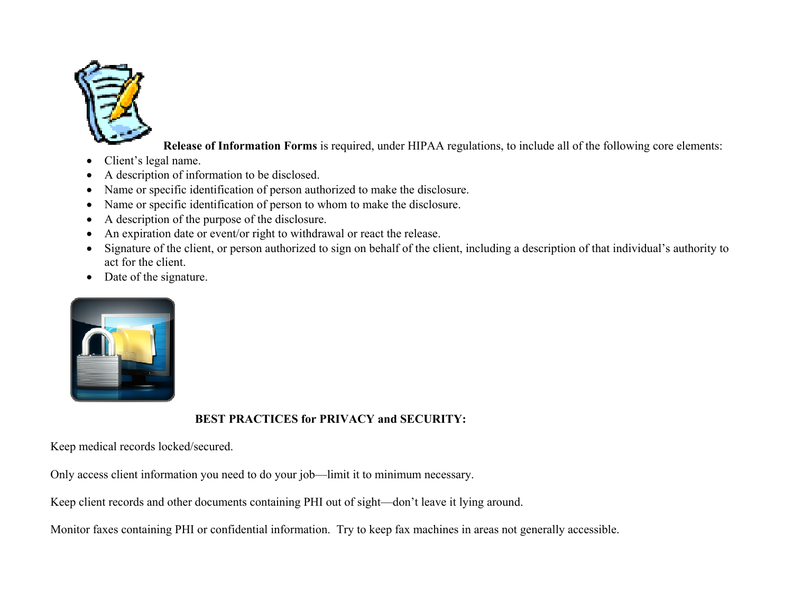

**Release of Information Forms** is required, under HIPAA regulations, to include all of the following core elements:

- 0 Client's legal name.
- 0 A description of information to be disclosed.
- $\bullet$ Name or specific identification of person authorized to make the disclosure.
- Name or specific identification of person to whom to make the disclosure.
- $\bullet$ A description of the purpose of the disclosure.
- $\bullet$ An expiration date or event/or right to withdrawal or react the release.
- $\bullet$  Signature of the client, or person authorized to sign on behalf of the client, including a description of that individual's authority to act for the client.
- Date of the signature.



## **BEST PRACTICES for PRIVACY and SECURITY:**

Keep medical records locked/secured.

Only access client information you need to do your job—limit it to minimum necessary.

Keep client records and other documents containing PHI out of sight—don't leave it lying around.

Monitor faxes containing PHI or confidential information. Try to keep fax machines in areas not generally accessible.